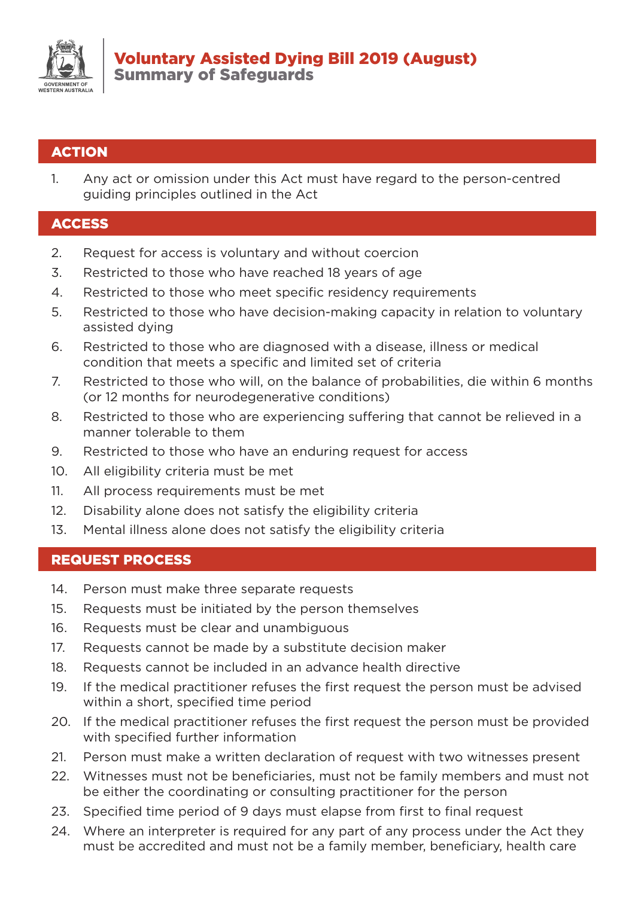

## **ACTION**

1. Any act or omission under this Act must have regard to the person-centred guiding principles outlined in the Act

### **ACCESS**

- 2. Request for access is voluntary and without coercion
- 3. Restricted to those who have reached 18 years of age
- 4. Restricted to those who meet specific residency requirements
- 5. Restricted to those who have decision-making capacity in relation to voluntary assisted dying
- 6. Restricted to those who are diagnosed with a disease, illness or medical condition that meets a specific and limited set of criteria
- 7. Restricted to those who will, on the balance of probabilities, die within 6 months (or 12 months for neurodegenerative conditions)
- 8. Restricted to those who are experiencing suffering that cannot be relieved in a manner tolerable to them
- 9. Restricted to those who have an enduring request for access
- 10. All eligibility criteria must be met
- 11. All process requirements must be met
- 12. Disability alone does not satisfy the eligibility criteria
- 13. Mental illness alone does not satisfy the eligibility criteria

### REQUEST PROCESS

- 14. Person must make three separate requests
- 15. Requests must be initiated by the person themselves
- 16. Requests must be clear and unambiguous
- 17. Requests cannot be made by a substitute decision maker
- 18. Requests cannot be included in an advance health directive
- 19. If the medical practitioner refuses the first request the person must be advised within a short, specified time period
- 20. If the medical practitioner refuses the first request the person must be provided with specified further information
- 21. Person must make a written declaration of request with two witnesses present
- 22. Witnesses must not be beneficiaries, must not be family members and must not be either the coordinating or consulting practitioner for the person
- 23. Specified time period of 9 days must elapse from first to final request
- 24. Where an interpreter is required for any part of any process under the Act they must be accredited and must not be a family member, beneficiary, health care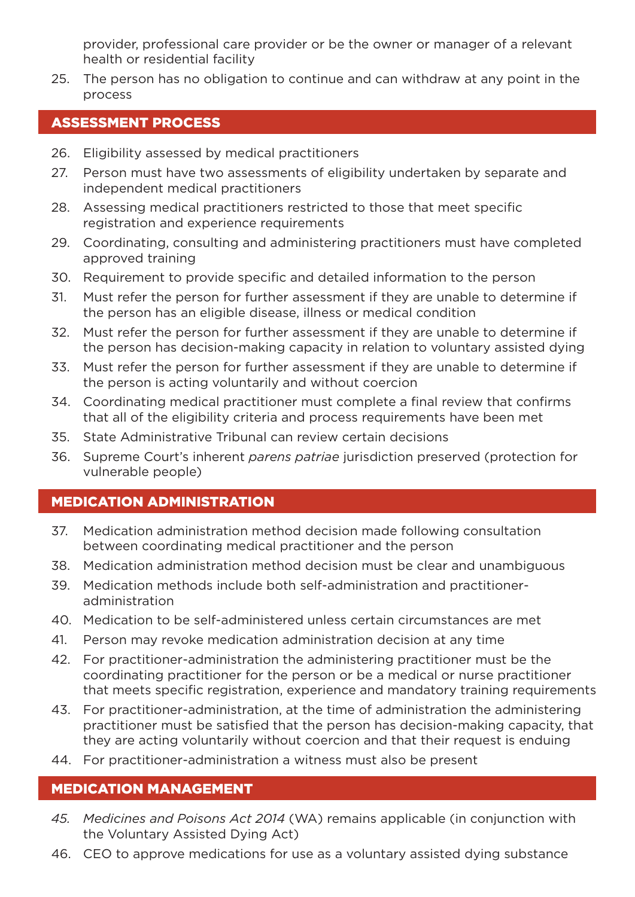provider, professional care provider or be the owner or manager of a relevant health or residential facility

25. The person has no obligation to continue and can withdraw at any point in the process

## ASSESSMENT PROCESS

- 26. Eligibility assessed by medical practitioners
- 27. Person must have two assessments of eligibility undertaken by separate and independent medical practitioners
- 28. Assessing medical practitioners restricted to those that meet specific registration and experience requirements
- 29. Coordinating, consulting and administering practitioners must have completed approved training
- 30. Requirement to provide specific and detailed information to the person
- 31. Must refer the person for further assessment if they are unable to determine if the person has an eligible disease, illness or medical condition
- 32. Must refer the person for further assessment if they are unable to determine if the person has decision-making capacity in relation to voluntary assisted dying
- 33. Must refer the person for further assessment if they are unable to determine if the person is acting voluntarily and without coercion
- 34. Coordinating medical practitioner must complete a final review that confirms that all of the eligibility criteria and process requirements have been met
- 35. State Administrative Tribunal can review certain decisions
- 36. Supreme Court's inherent *parens patriae* jurisdiction preserved (protection for vulnerable people)

# MEDICATION ADMINISTRATION

- 37. Medication administration method decision made following consultation between coordinating medical practitioner and the person
- 38. Medication administration method decision must be clear and unambiguous
- 39. Medication methods include both self-administration and practitioneradministration
- 40. Medication to be self-administered unless certain circumstances are met
- 41. Person may revoke medication administration decision at any time
- 42. For practitioner-administration the administering practitioner must be the coordinating practitioner for the person or be a medical or nurse practitioner that meets specific registration, experience and mandatory training requirements
- 43. For practitioner-administration, at the time of administration the administering practitioner must be satisfied that the person has decision-making capacity, that they are acting voluntarily without coercion and that their request is enduing
- 44. For practitioner-administration a witness must also be present

## MEDICATION MANAGEMENT

- *45. Medicines and Poisons Act 2014* (WA) remains applicable (in conjunction with the Voluntary Assisted Dying Act)
- 46. CEO to approve medications for use as a voluntary assisted dying substance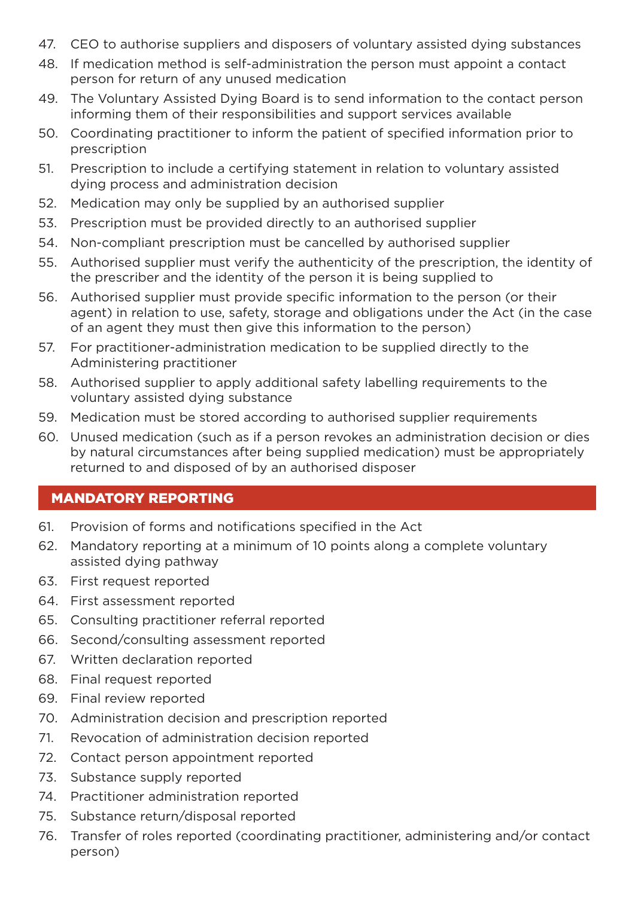- 47. CEO to authorise suppliers and disposers of voluntary assisted dying substances
- 48. If medication method is self-administration the person must appoint a contact person for return of any unused medication
- 49. The Voluntary Assisted Dying Board is to send information to the contact person informing them of their responsibilities and support services available
- 50. Coordinating practitioner to inform the patient of specified information prior to prescription
- 51. Prescription to include a certifying statement in relation to voluntary assisted dying process and administration decision
- 52. Medication may only be supplied by an authorised supplier
- 53. Prescription must be provided directly to an authorised supplier
- 54. Non-compliant prescription must be cancelled by authorised supplier
- 55. Authorised supplier must verify the authenticity of the prescription, the identity of the prescriber and the identity of the person it is being supplied to
- 56. Authorised supplier must provide specific information to the person (or their agent) in relation to use, safety, storage and obligations under the Act (in the case of an agent they must then give this information to the person)
- 57. For practitioner-administration medication to be supplied directly to the Administering practitioner
- 58. Authorised supplier to apply additional safety labelling requirements to the voluntary assisted dying substance
- 59. Medication must be stored according to authorised supplier requirements
- 60. Unused medication (such as if a person revokes an administration decision or dies by natural circumstances after being supplied medication) must be appropriately returned to and disposed of by an authorised disposer

### MANDATORY REPORTING

- 61. Provision of forms and notifications specified in the Act
- 62. Mandatory reporting at a minimum of 10 points along a complete voluntary assisted dying pathway
- 63. First request reported
- 64. First assessment reported
- 65. Consulting practitioner referral reported
- 66. Second/consulting assessment reported
- 67. Written declaration reported
- 68. Final request reported
- 69. Final review reported
- 70. Administration decision and prescription reported
- 71. Revocation of administration decision reported
- 72. Contact person appointment reported
- 73. Substance supply reported
- 74. Practitioner administration reported
- 75. Substance return/disposal reported
- 76. Transfer of roles reported (coordinating practitioner, administering and/or contact person)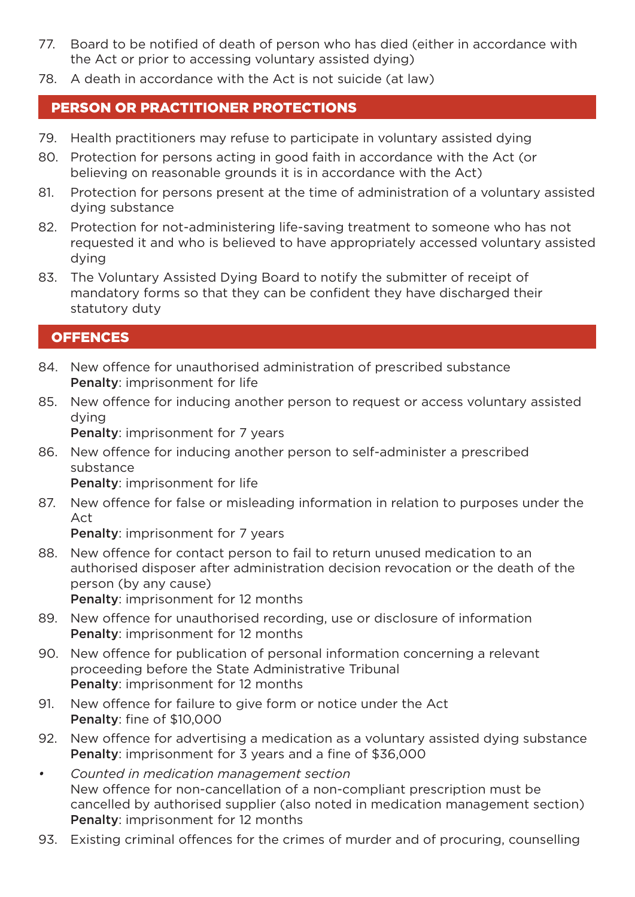- 77. Board to be notified of death of person who has died (either in accordance with the Act or prior to accessing voluntary assisted dying)
- 78. A death in accordance with the Act is not suicide (at law)

## PERSON OR PRACTITIONER PROTECTIONS

- 79. Health practitioners may refuse to participate in voluntary assisted dying
- 80. Protection for persons acting in good faith in accordance with the Act (or believing on reasonable grounds it is in accordance with the Act)
- 81. Protection for persons present at the time of administration of a voluntary assisted dying substance
- 82. Protection for not-administering life-saving treatment to someone who has not requested it and who is believed to have appropriately accessed voluntary assisted dying
- 83. The Voluntary Assisted Dying Board to notify the submitter of receipt of mandatory forms so that they can be confident they have discharged their statutory duty

## **OFFENCES**

- 84. New offence for unauthorised administration of prescribed substance Penalty: imprisonment for life
- 85. New offence for inducing another person to request or access voluntary assisted dying

Penalty: imprisonment for 7 years

86. New offence for inducing another person to self-administer a prescribed substance

Penalty: imprisonment for life

87. New offence for false or misleading information in relation to purposes under the Act

Penalty: imprisonment for 7 years

88. New offence for contact person to fail to return unused medication to an authorised disposer after administration decision revocation or the death of the person (by any cause)

Penalty: imprisonment for 12 months

- 89. New offence for unauthorised recording, use or disclosure of information Penalty: imprisonment for 12 months
- 90. New offence for publication of personal information concerning a relevant proceeding before the State Administrative Tribunal Penalty: imprisonment for 12 months
- 91. New offence for failure to give form or notice under the Act Penalty: fine of \$10,000
- 92. New offence for advertising a medication as a voluntary assisted dying substance Penalty: imprisonment for 3 years and a fine of \$36,000
- *• Counted in medication management section* New offence for non-cancellation of a non-compliant prescription must be cancelled by authorised supplier (also noted in medication management section) Penalty: imprisonment for 12 months
- 93. Existing criminal offences for the crimes of murder and of procuring, counselling